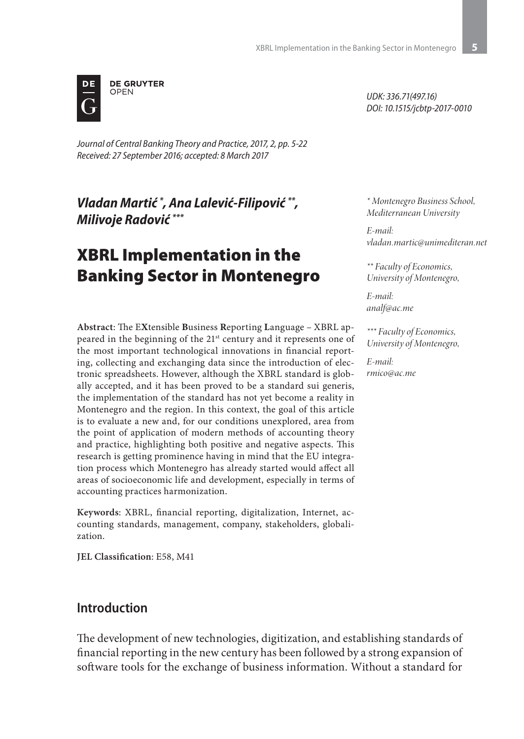

*Journal of Central Banking Theory and Practice, 2017, 2, pp. 5-22 Received: 27 September 2016; accepted: 8 March 2017*

*Vladan Martić \* , Ana Lalević-Filipović \*\*, Milivoje Radović \*\*\**

# XBRL Implementation in the Banking Sector in Montenegro

**Abstract**: The E**X**tensible **B**usiness **R**eporting **L**anguage – XBRL appeared in the beginning of the 21st century and it represents one of the most important technological innovations in financial reporting, collecting and exchanging data since the introduction of electronic spreadsheets. However, although the XBRL standard is globally accepted, and it has been proved to be a standard sui generis, the implementation of the standard has not yet become a reality in Montenegro and the region. In this context, the goal of this article is to evaluate a new and, for our conditions unexplored, area from the point of application of modern methods of accounting theory and practice, highlighting both positive and negative aspects. This research is getting prominence having in mind that the EU integration process which Montenegro has already started would affect all areas of socioeconomic life and development, especially in terms of accounting practices harmonization.

**Keywords**: XBRL, financial reporting, digitalization, Internet, accounting standards, management, company, stakeholders, globalization.

**JEL Classification**: E58, M41

### **Introduction**

The development of new technologies, digitization, and establishing standards of financial reporting in the new century has been followed by a strong expansion of software tools for the exchange of business information. Without a standard for

*UDK: 336.71(497.16) DOI: 10.1515/jcbtp-2017-0010*

*\* Montenegro Business School, Mediterranean University* 

*E-mail: vladan.martic@unimediteran.net*

*\*\* Faculty of Economics, University of Montenegro,* 

*E-mail: analf@ac.me*

*\*\*\* Faculty of Economics, University of Montenegro,* 

*E-mail: rmico@ac.me*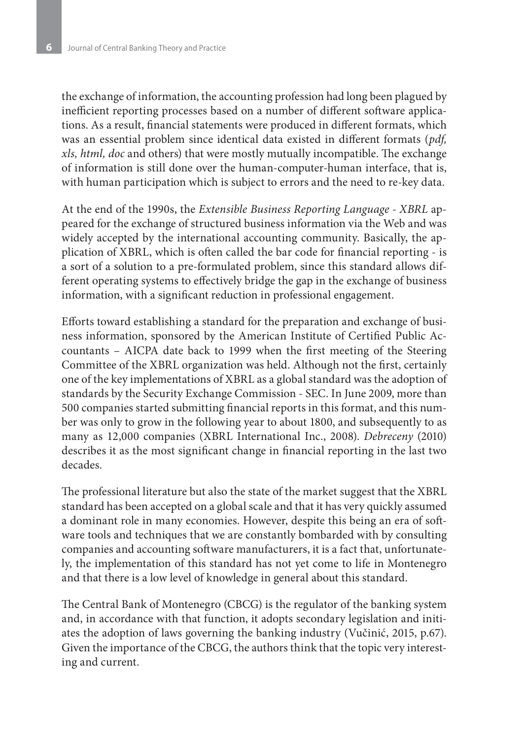the exchange of information, the accounting profession had long been plagued by inefficient reporting processes based on a number of different software applications. As a result, financial statements were produced in different formats, which was an essential problem since identical data existed in different formats (*pdf, xls, html, doc* and others) that were mostly mutually incompatible. The exchange of information is still done over the human-computer-human interface, that is, with human participation which is subject to errors and the need to re-key data.

At the end of the 1990s, the *Extensible Business Reporting Language - XBRL* appeared for the exchange of structured business information via the Web and was widely accepted by the international accounting community. Basically, the application of XBRL, which is often called the bar code for financial reporting - is a sort of a solution to a pre-formulated problem, since this standard allows different operating systems to effectively bridge the gap in the exchange of business information, with a significant reduction in professional engagement.

Efforts toward establishing a standard for the preparation and exchange of business information, sponsored by the American Institute of Certified Public Accountants – AICPA date back to 1999 when the first meeting of the Steering Committee of the XBRL organization was held. Although not the first, certainly one of the key implementations of XBRL as a global standard was the adoption of standards by the Security Exchange Commission - SEC. In June 2009, more than 500 companies started submitting financial reports in this format, and this number was only to grow in the following year to about 1800, and subsequently to as many as 12,000 companies (XBRL International Inc., 2008). *Debreceny* (2010) describes it as the most significant change in financial reporting in the last two decades.

The professional literature but also the state of the market suggest that the XBRL standard has been accepted on a global scale and that it has very quickly assumed a dominant role in many economies. However, despite this being an era of software tools and techniques that we are constantly bombarded with by consulting companies and accounting software manufacturers, it is a fact that, unfortunately, the implementation of this standard has not yet come to life in Montenegro and that there is a low level of knowledge in general about this standard.

The Central Bank of Montenegro (CBCG) is the regulator of the banking system and, in accordance with that function, it adopts secondary legislation and initiates the adoption of laws governing the banking industry (Vučinić, 2015, p.67). Given the importance of the CBCG, the authors think that the topic very interesting and current.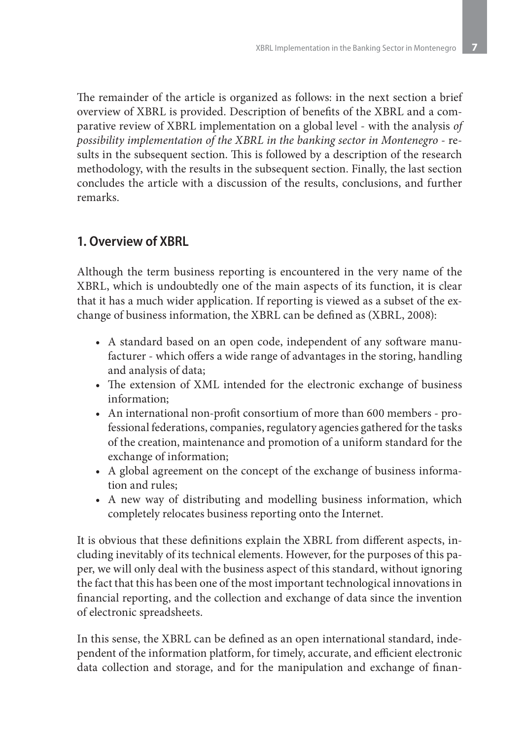The remainder of the article is organized as follows: in the next section a brief overview of XBRL is provided. Description of benefits of the XBRL and a comparative review of XBRL implementation on a global level - with the analysis *of possibility implementation of the XBRL in the banking sector in Montenegro* - results in the subsequent section. This is followed by a description of the research methodology, with the results in the subsequent section. Finally, the last section concludes the article with a discussion of the results, conclusions, and further remarks.

# **1. Overview of XBRL**

Although the term business reporting is encountered in the very name of the XBRL, which is undoubtedly one of the main aspects of its function, it is clear that it has a much wider application. If reporting is viewed as a subset of the exchange of business information, the XBRL can be defined as (XBRL, 2008):

- A standard based on an open code, independent of any software manufacturer - which offers a wide range of advantages in the storing, handling and analysis of data;
- The extension of XML intended for the electronic exchange of business information;
- An international non-profit consortium of more than 600 members professional federations, companies, regulatory agencies gathered for the tasks of the creation, maintenance and promotion of a uniform standard for the exchange of information;
- A global agreement on the concept of the exchange of business information and rules;
- A new way of distributing and modelling business information, which completely relocates business reporting onto the Internet.

It is obvious that these definitions explain the XBRL from different aspects, including inevitably of its technical elements. However, for the purposes of this paper, we will only deal with the business aspect of this standard, without ignoring the fact that this has been one of the most important technological innovations in financial reporting, and the collection and exchange of data since the invention of electronic spreadsheets.

In this sense, the XBRL can be defined as an open international standard, independent of the information platform, for timely, accurate, and efficient electronic data collection and storage, and for the manipulation and exchange of finan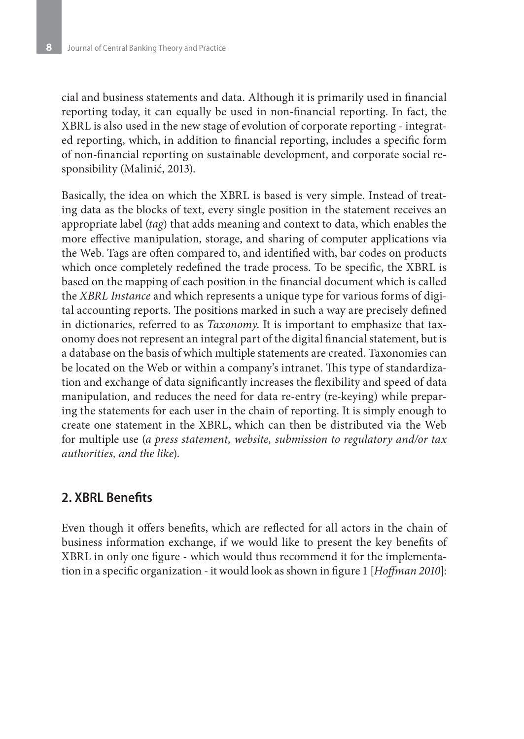cial and business statements and data. Although it is primarily used in financial reporting today, it can equally be used in non-financial reporting. In fact, the XBRL is also used in the new stage of evolution of corporate reporting - integrated reporting, which, in addition to financial reporting, includes a specific form of non-financial reporting on sustainable development, and corporate social responsibility (Malinić, 2013).

Basically, the idea on which the XBRL is based is very simple. Instead of treating data as the blocks of text, every single position in the statement receives an appropriate label (*tag*) that adds meaning and context to data, which enables the more effective manipulation, storage, and sharing of computer applications via the Web. Tags are often compared to, and identified with, bar codes on products which once completely redefined the trade process. To be specific, the XBRL is based on the mapping of each position in the financial document which is called the *XBRL Instance* and which represents a unique type for various forms of digital accounting reports. The positions marked in such a way are precisely defined in dictionaries, referred to as *Taxonomy*. It is important to emphasize that taxonomy does not represent an integral part of the digital financial statement, but is a database on the basis of which multiple statements are created. Taxonomies can be located on the Web or within a company's intranet. This type of standardization and exchange of data significantly increases the flexibility and speed of data manipulation, and reduces the need for data re-entry (re-keying) while preparing the statements for each user in the chain of reporting. It is simply enough to create one statement in the XBRL, which can then be distributed via the Web for multiple use (*a press statement, website, submission to regulatory and/or tax authorities, and the like*).

### **2. XBRL Benefits**

Even though it offers benefits, which are reflected for all actors in the chain of business information exchange, if we would like to present the key benefits of XBRL in only one figure - which would thus recommend it for the implementation in a specific organization - it would look as shown in figure 1 [*Hoffman 2010*]: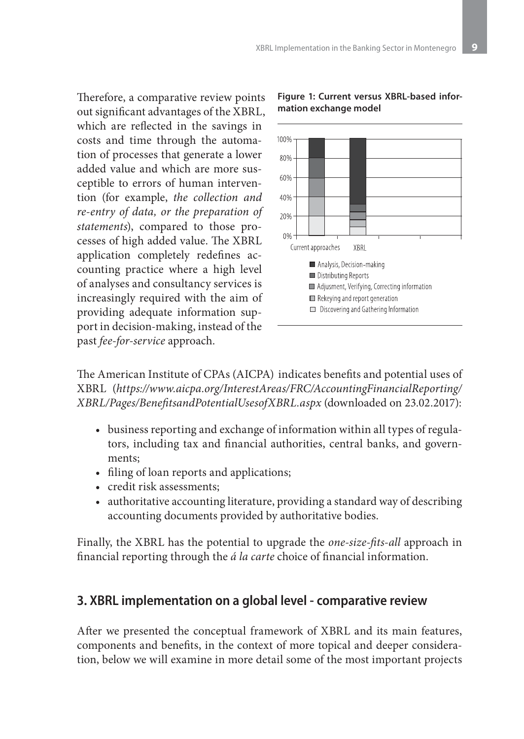Therefore, a comparative review points out significant advantages of the XBRL, which are reflected in the savings in costs and time through the automation of processes that generate a lower added value and which are more susceptible to errors of human intervention (for example, *the collection and re-entry of data, or the preparation of statements*), compared to those processes of high added value. The XBRL application completely redefines accounting practice where a high level of analyses and consultancy services is increasingly required with the aim of providing adequate information support in decision-making, instead of the past *fee-for-service* approach.



**Figure 1: Current versus XBRL-based information exchange model**

The American Institute of CPAs (AICPA) indicates benefits and potential uses of XBRL (*https://www.aicpa.org/InterestAreas/FRC/AccountingFinancialReporting/ XBRL/Pages/BenefitsandPotentialUsesofXBRL.aspx* (downloaded on 23.02.2017):

- business reporting and exchange of information within all types of regulators, including tax and financial authorities, central banks, and governments;
- filing of loan reports and applications;
- credit risk assessments;
- authoritative accounting literature, providing a standard way of describing accounting documents provided by authoritative bodies.

Finally, the XBRL has the potential to upgrade the *one-size-fits-all* approach in financial reporting through the *á la carte* choice of financial information.

### **3. XBRL implementation on a global level - comparative review**

After we presented the conceptual framework of XBRL and its main features, components and benefits, in the context of more topical and deeper consideration, below we will examine in more detail some of the most important projects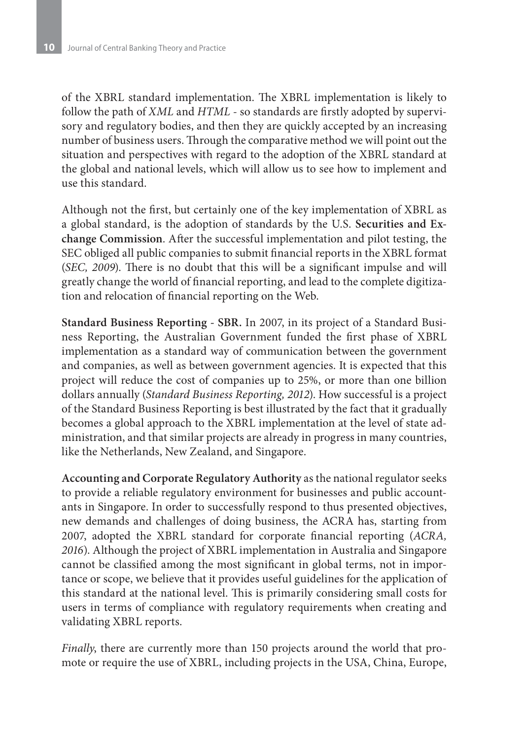of the XBRL standard implementation. The XBRL implementation is likely to follow the path of *XML* and *HTML* - so standards are firstly adopted by supervisory and regulatory bodies, and then they are quickly accepted by an increasing number of business users. Through the comparative method we will point out the situation and perspectives with regard to the adoption of the XBRL standard at the global and national levels, which will allow us to see how to implement and use this standard.

Although not the first, but certainly one of the key implementation of XBRL as a global standard, is the adoption of standards by the U.S. **Securities and Exchange Commission**. After the successful implementation and pilot testing, the SEC obliged all public companies to submit financial reports in the XBRL format (*SEC, 2009*). There is no doubt that this will be a significant impulse and will greatly change the world of financial reporting, and lead to the complete digitization and relocation of financial reporting on the Web.

**Standard Business Reporting - SBR.** In 2007, in its project of a Standard Business Reporting, the Australian Government funded the first phase of XBRL implementation as a standard way of communication between the government and companies, as well as between government agencies. It is expected that this project will reduce the cost of companies up to 25%, or more than one billion dollars annually (*Standard Business Reporting, 2012*). How successful is a project of the Standard Business Reporting is best illustrated by the fact that it gradually becomes a global approach to the XBRL implementation at the level of state administration, and that similar projects are already in progress in many countries, like the Netherlands, New Zealand, and Singapore.

**Accounting and Corporate Regulatory Authority** as the national regulator seeks to provide a reliable regulatory environment for businesses and public accountants in Singapore. In order to successfully respond to thus presented objectives, new demands and challenges of doing business, the ACRA has, starting from 2007, adopted the XBRL standard for corporate financial reporting (*ACRA, 2016*). Although the project of XBRL implementation in Australia and Singapore cannot be classified among the most significant in global terms, not in importance or scope, we believe that it provides useful guidelines for the application of this standard at the national level. This is primarily considering small costs for users in terms of compliance with regulatory requirements when creating and validating XBRL reports.

*Finally*, there are currently more than 150 projects around the world that promote or require the use of XBRL, including projects in the USA, China, Europe,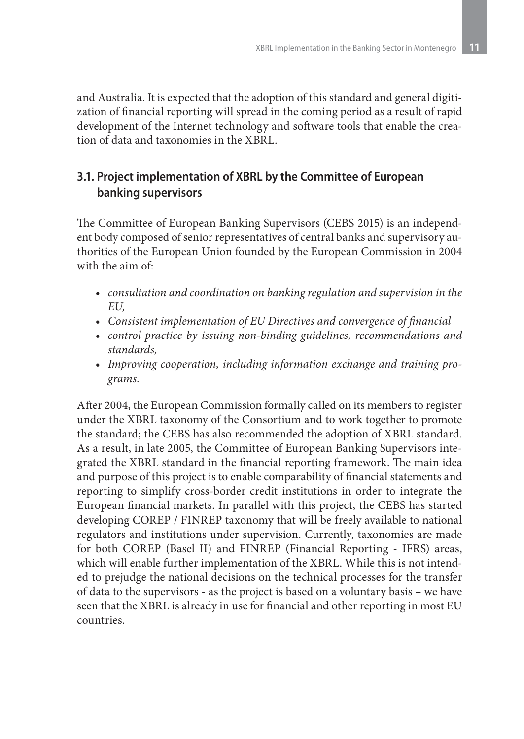and Australia. It is expected that the adoption of this standard and general digitization of financial reporting will spread in the coming period as a result of rapid development of the Internet technology and software tools that enable the creation of data and taxonomies in the XBRL.

### **3.1. Project implementation of XBRL by the Committee of European banking supervisors**

The Committee of European Banking Supervisors (CEBS 2015) is an independent body composed of senior representatives of central banks and supervisory authorities of the European Union founded by the European Commission in 2004 with the aim of:

- • *consultation and coordination on banking regulation and supervision in the EU,*
- • *Consistent implementation of EU Directives and convergence of financial*
- • *control practice by issuing non-binding guidelines, recommendations and standards,*
- Improving cooperation, including information exchange and training pro*grams.*

After 2004, the European Commission formally called on its members to register under the XBRL taxonomy of the Consortium and to work together to promote the standard; the CEBS has also recommended the adoption of XBRL standard. As a result, in late 2005, the Committee of European Banking Supervisors integrated the XBRL standard in the financial reporting framework. The main idea and purpose of this project is to enable comparability of financial statements and reporting to simplify cross-border credit institutions in order to integrate the European financial markets. In parallel with this project, the CEBS has started developing COREP / FINREP taxonomy that will be freely available to national regulators and institutions under supervision. Currently, taxonomies are made for both COREP (Basel II) and FINREP (Financial Reporting - IFRS) areas, which will enable further implementation of the XBRL. While this is not intended to prejudge the national decisions on the technical processes for the transfer of data to the supervisors - as the project is based on a voluntary basis – we have seen that the XBRL is already in use for financial and other reporting in most EU countries.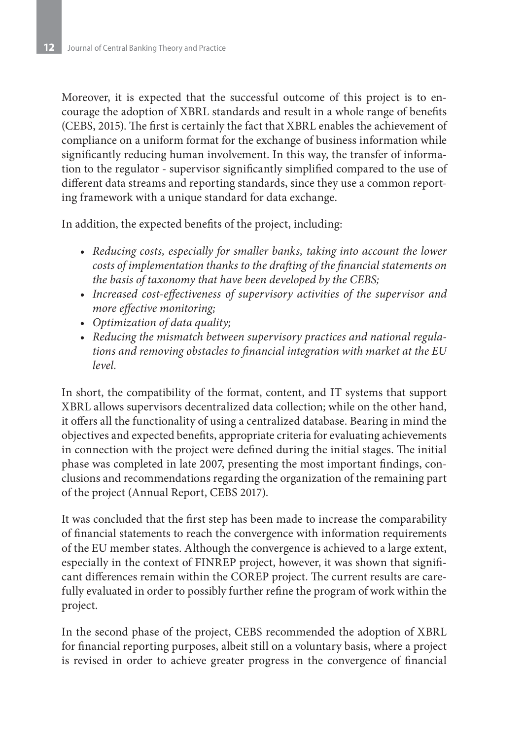Moreover, it is expected that the successful outcome of this project is to encourage the adoption of XBRL standards and result in a whole range of benefits (CEBS, 2015). The first is certainly the fact that XBRL enables the achievement of compliance on a uniform format for the exchange of business information while significantly reducing human involvement. In this way, the transfer of information to the regulator - supervisor significantly simplified compared to the use of different data streams and reporting standards, since they use a common reporting framework with a unique standard for data exchange.

In addition, the expected benefits of the project, including:

- Reducing costs, especially for smaller banks, taking into account the lower *costs of implementation thanks to the drafting of the financial statements on the basis of taxonomy that have been developed by the CEBS;*
- • *Increased cost-effectiveness of supervisory activities of the supervisor and more effective monitoring;*
- • *Optimization of data quality;*
- Reducing the mismatch between supervisory practices and national regula*tions and removing obstacles to financial integration with market at the EU level.*

In short, the compatibility of the format, content, and IT systems that support XBRL allows supervisors decentralized data collection; while on the other hand, it offers all the functionality of using a centralized database. Bearing in mind the objectives and expected benefits, appropriate criteria for evaluating achievements in connection with the project were defined during the initial stages. The initial phase was completed in late 2007, presenting the most important findings, conclusions and recommendations regarding the organization of the remaining part of the project (Annual Report, CEBS 2017).

It was concluded that the first step has been made to increase the comparability of financial statements to reach the convergence with information requirements of the EU member states. Although the convergence is achieved to a large extent, especially in the context of FINREP project, however, it was shown that significant differences remain within the COREP project. The current results are carefully evaluated in order to possibly further refine the program of work within the project.

In the second phase of the project, CEBS recommended the adoption of XBRL for financial reporting purposes, albeit still on a voluntary basis, where a project is revised in order to achieve greater progress in the convergence of financial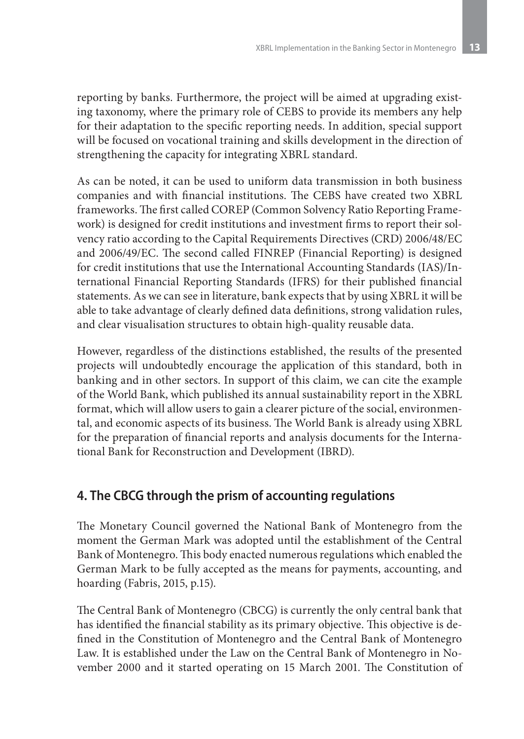reporting by banks. Furthermore, the project will be aimed at upgrading existing taxonomy, where the primary role of CEBS to provide its members any help for their adaptation to the specific reporting needs. In addition, special support will be focused on vocational training and skills development in the direction of strengthening the capacity for integrating XBRL standard.

As can be noted, it can be used to uniform data transmission in both business companies and with financial institutions. The CEBS have created two XBRL frameworks. The first called COREP (Common Solvency Ratio Reporting Framework) is designed for credit institutions and investment firms to report their solvency ratio according to the Capital Requirements Directives (CRD) 2006/48/EC and 2006/49/EC. The second called FINREP (Financial Reporting) is designed for credit institutions that use the International Accounting Standards (IAS)/International Financial Reporting Standards (IFRS) for their published financial statements. As we can see in literature, bank expects that by using XBRL it will be able to take advantage of clearly defined data definitions, strong validation rules, and clear visualisation structures to obtain high-quality reusable data.

However, regardless of the distinctions established, the results of the presented projects will undoubtedly encourage the application of this standard, both in banking and in other sectors. In support of this claim, we can cite the example of the World Bank, which published its annual sustainability report in the XBRL format, which will allow users to gain a clearer picture of the social, environmental, and economic aspects of its business. The World Bank is already using XBRL for the preparation of financial reports and analysis documents for the International Bank for Reconstruction and Development (IBRD).

# **4. The CBCG through the prism of accounting regulations**

The Monetary Council governed the National Bank of Montenegro from the moment the German Mark was adopted until the establishment of the Central Bank of Montenegro. This body enacted numerous regulations which enabled the German Mark to be fully accepted as the means for payments, accounting, and hoarding (Fabris, 2015, p.15).

The Central Bank of Montenegro (CBCG) is currently the only central bank that has identified the financial stability as its primary objective. This objective is defined in the Constitution of Montenegro and the Central Bank of Montenegro Law. It is established under the Law on the Central Bank of Montenegro in November 2000 and it started operating on 15 March 2001. The Constitution of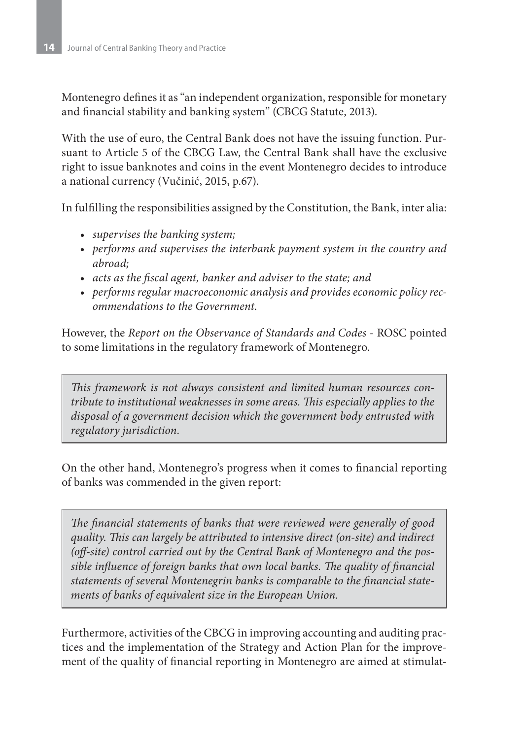Montenegro defines it as "an independent organization, responsible for monetary and financial stability and banking system" (CBCG Statute, 2013).

With the use of euro, the Central Bank does not have the issuing function. Pursuant to Article 5 of the CBCG Law, the Central Bank shall have the exclusive right to issue banknotes and coins in the event Montenegro decides to introduce a national currency (Vučinić, 2015, p.67).

In fulfilling the responsibilities assigned by the Constitution, the Bank, inter alia:

- • *supervises the banking system;*
- • *performs and supervises the interbank payment system in the country and abroad;*
- • *acts as the fiscal agent, banker and adviser to the state; and*
- performs regular macroeconomic analysis and provides economic policy rec*ommendations to the Government.*

However, the *Report on the Observance of Standards and Codes* - ROSC pointed to some limitations in the regulatory framework of Montenegro.

*This framework is not always consistent and limited human resources contribute to institutional weaknesses in some areas. This especially applies to the disposal of a government decision which the government body entrusted with regulatory jurisdiction.*

On the other hand, Montenegro's progress when it comes to financial reporting of banks was commended in the given report:

*The financial statements of banks that were reviewed were generally of good quality. This can largely be attributed to intensive direct (on-site) and indirect (off-site) control carried out by the Central Bank of Montenegro and the possible influence of foreign banks that own local banks. The quality of financial statements of several Montenegrin banks is comparable to the financial statements of banks of equivalent size in the European Union.*

Furthermore, activities of the CBCG in improving accounting and auditing practices and the implementation of the Strategy and Action Plan for the improvement of the quality of financial reporting in Montenegro are aimed at stimulat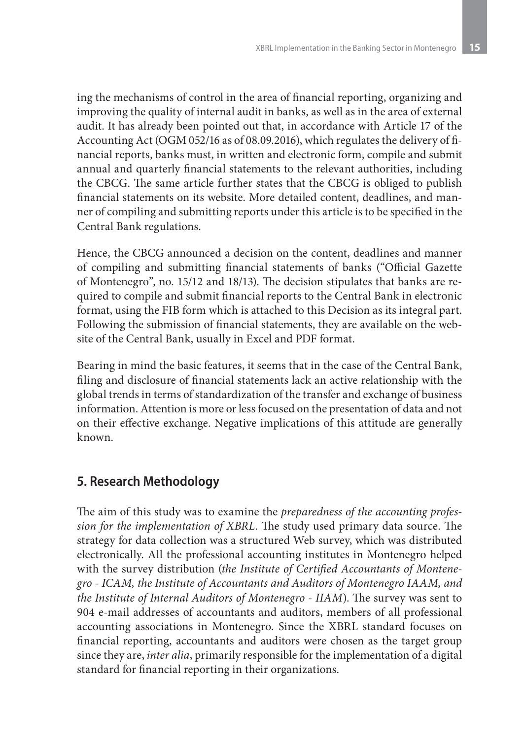ing the mechanisms of control in the area of financial reporting, organizing and improving the quality of internal audit in banks, as well as in the area of external audit. It has already been pointed out that, in accordance with Article 17 of the Accounting Act (OGM 052/16 as of 08.09.2016), which regulates the delivery of financial reports, banks must, in written and electronic form, compile and submit annual and quarterly financial statements to the relevant authorities, including the CBCG. The same article further states that the CBCG is obliged to publish financial statements on its website. More detailed content, deadlines, and manner of compiling and submitting reports under this article is to be specified in the Central Bank regulations.

Hence, the CBCG announced a decision on the content, deadlines and manner of compiling and submitting financial statements of banks ("Official Gazette of Montenegro", no. 15/12 and 18/13). The decision stipulates that banks are required to compile and submit financial reports to the Central Bank in electronic format, using the FIB form which is attached to this Decision as its integral part. Following the submission of financial statements, they are available on the website of the Central Bank, usually in Excel and PDF format.

Bearing in mind the basic features, it seems that in the case of the Central Bank, filing and disclosure of financial statements lack an active relationship with the global trends in terms of standardization of the transfer and exchange of business information. Attention is more or less focused on the presentation of data and not on their effective exchange. Negative implications of this attitude are generally known.

# **5. Research Methodology**

The aim of this study was to examine the *preparedness of the accounting profession for the implementation of XBRL*. The study used primary data source. The strategy for data collection was a structured Web survey, which was distributed electronically. All the professional accounting institutes in Montenegro helped with the survey distribution (*the Institute of Certified Accountants of Montenegro - ICAM, the Institute of Accountants and Auditors of Montenegro IAAM, and the Institute of Internal Auditors of Montenegro - IIAM*). The survey was sent to 904 e-mail addresses of accountants and auditors, members of all professional accounting associations in Montenegro. Since the XBRL standard focuses on financial reporting, accountants and auditors were chosen as the target group since they are, *inter alia*, primarily responsible for the implementation of a digital standard for financial reporting in their organizations.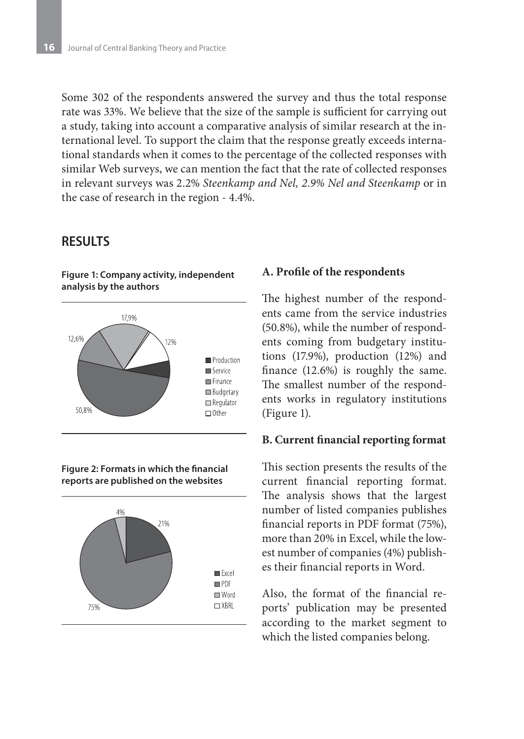Some 302 of the respondents answered the survey and thus the total response rate was 33%. We believe that the size of the sample is sufficient for carrying out a study, taking into account a comparative analysis of similar research at the international level. To support the claim that the response greatly exceeds international standards when it comes to the percentage of the collected responses with similar Web surveys, we can mention the fact that the rate of collected responses in relevant surveys was 2.2% *Steenkamp and Nel, 2.9% Nel and Steenkamp* or in the case of research in the region - 4.4%.

### **RESULTS**

**Figure 1: Company activity, independent analysis by the authors**



#### **Figure 2: Formats in which the financial reports are published on the websites**



### **A. Profile of the respondents**

The highest number of the respondents came from the service industries (50.8%), while the number of respondents coming from budgetary institutions (17.9%), production (12%) and finance (12.6%) is roughly the same. The smallest number of the respondents works in regulatory institutions (Figure 1).

### **B. Current financial reporting format**

This section presents the results of the current financial reporting format. The analysis shows that the largest number of listed companies publishes financial reports in PDF format (75%), more than 20% in Excel, while the lowest number of companies (4%) publishes their financial reports in Word.

Also, the format of the financial reports' publication may be presented according to the market segment to which the listed companies belong.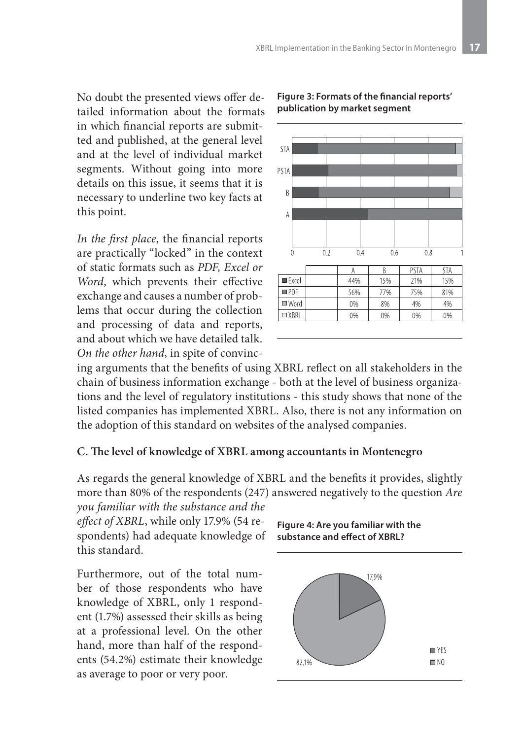No doubt the presented views offer detailed information about the formats in which financial reports are submitted and published, at the general level and at the level of individual market segments. Without going into more details on this issue, it seems that it is necessary to underline two key facts at this point.

*In the first place*, the financial reports are practically "locked" in the context of static formats such as *PDF, Excel or Word*, which prevents their effective exchange and causes a number of problems that occur during the collection and processing of data and reports, and about which we have detailed talk. *On the other hand*, in spite of convinc**Figure 3: Formats of the financial reports' publication by market segment**



ing arguments that the benefits of using XBRL reflect on all stakeholders in the chain of business information exchange - both at the level of business organizations and the level of regulatory institutions - this study shows that none of the listed companies has implemented XBRL. Also, there is not any information on the adoption of this standard on websites of the analysed companies.

### **C. The level of knowledge of XBRL among accountants in Montenegro**

As regards the general knowledge of XBRL and the benefits it provides, slightly more than 80% of the respondents (247) answered negatively to the question *Are* 

*you familiar with the substance and the effect of XBRL*, while only 17.9% (54 respondents) had adequate knowledge of this standard.

Furthermore, out of the total number of those respondents who have knowledge of XBRL, only 1 respondent (1.7%) assessed their skills as being at a professional level. On the other hand, more than half of the respondents (54.2%) estimate their knowledge as average to poor or very poor.



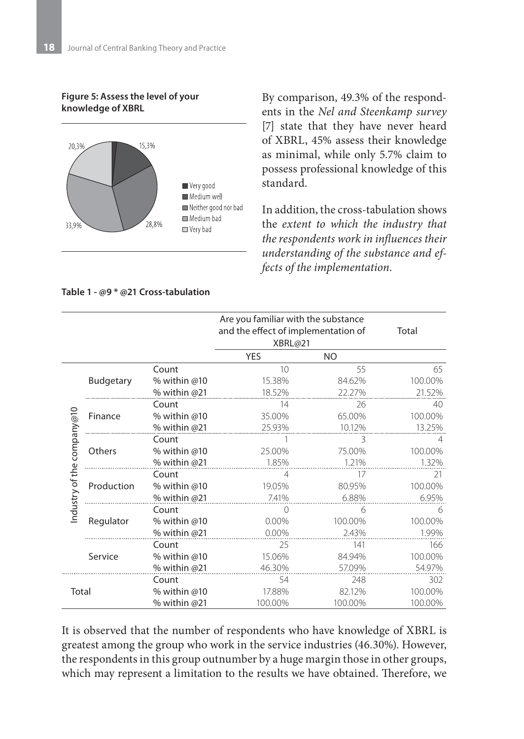**Figure 5: Assess the level of your knowledge of XBRL**



By comparison, 49.3% of the respondents in the *Nel and Steenkamp survey*  [7] state that they have never heard of XBRL, 45% assess their knowledge as minimal, while only 5.7% claim to possess professional knowledge of this standard.

In addition, the cross-tabulation shows the *extent to which the industry that the respondents work in influences their understanding of the substance and effects of the implementation*.

#### **Table 1 - @9 \* @21 Cross-tabulation**

|                            |            |                | Are you familiar with the substance<br>and the effect of implementation of<br>XBRL@21 |           | Total   |
|----------------------------|------------|----------------|---------------------------------------------------------------------------------------|-----------|---------|
|                            |            |                | <b>YES</b>                                                                            | <b>NO</b> |         |
| Industry of the company@10 | Budgetary  | Count          | 10                                                                                    | 55        | 65      |
|                            |            | % within @10   | 15.38%                                                                                | 84.62%    | 100.00% |
|                            |            | % within @21   | 18.52%                                                                                | 22.27%    | 21.52%  |
|                            | Finance    | Count          | 14                                                                                    | 26        | 40      |
|                            |            | % within @10   | 35.00%                                                                                | 65.00%    | 100.00% |
|                            |            | % within @21   | 25.93%                                                                                | 10.12%    | 13.25%  |
|                            | Others     | Count          |                                                                                       | 3         |         |
|                            |            | % within $@10$ | 25.00%                                                                                | 75.00%    | 100.00% |
|                            |            | % within @21   | 1.85%                                                                                 | 1.21%     | 1.32%   |
|                            | Production | Count          | 4                                                                                     | 17        | 21      |
|                            |            | % within $@10$ | 19.05%                                                                                | 80.95%    | 100.00% |
|                            |            | % within @21   | 7.41%                                                                                 | 6.88%     | 6.95%   |
|                            | Regulator  | Count          | 0                                                                                     | 6         | 6       |
|                            |            | % within $@10$ | 0.00%                                                                                 | 100.00%   | 100.00% |
|                            |            | % within @21   | 0.00%                                                                                 | 2.43%     | 1.99%   |
|                            | Service    | Count          | 25                                                                                    | 141       | 166     |
|                            |            | % within $@10$ | 15.06%                                                                                | 84.94%    | 100.00% |
|                            |            | % within @21   | 46.30%                                                                                | 57.09%    | 54.97%  |
| Total                      |            | Count          | 54                                                                                    | 248       | 302     |
|                            |            | % within $@10$ | 17.88%                                                                                | 82.12%    | 100.00% |
|                            |            | % within @21   | 100.00%                                                                               | 100.00%   | 100.00% |

It is observed that the number of respondents who have knowledge of XBRL is greatest among the group who work in the service industries (46.30%). However, the respondents in this group outnumber by a huge margin those in other groups, which may represent a limitation to the results we have obtained. Therefore, we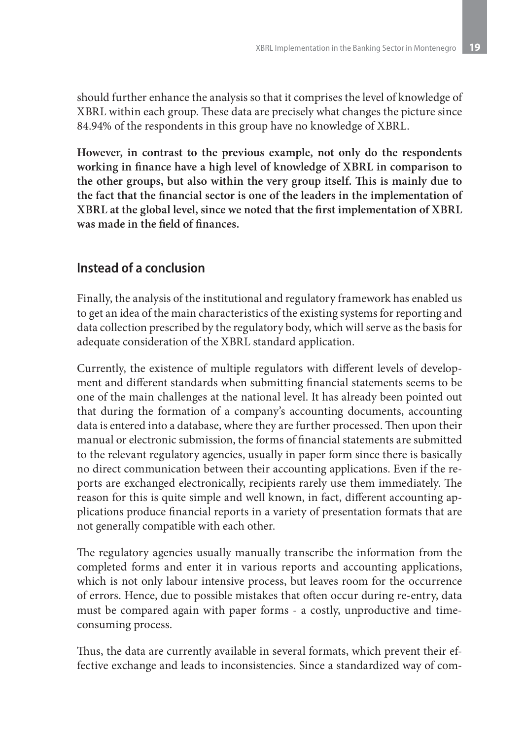should further enhance the analysis so that it comprises the level of knowledge of XBRL within each group. These data are precisely what changes the picture since 84.94% of the respondents in this group have no knowledge of XBRL.

**However, in contrast to the previous example, not only do the respondents working in finance have a high level of knowledge of XBRL in comparison to the other groups, but also within the very group itself. This is mainly due to the fact that the financial sector is one of the leaders in the implementation of XBRL at the global level, since we noted that the first implementation of XBRL was made in the field of finances.**

# **Instead of a conclusion**

Finally, the analysis of the institutional and regulatory framework has enabled us to get an idea of the main characteristics of the existing systems for reporting and data collection prescribed by the regulatory body, which will serve as the basis for adequate consideration of the XBRL standard application.

Currently, the existence of multiple regulators with different levels of development and different standards when submitting financial statements seems to be one of the main challenges at the national level. It has already been pointed out that during the formation of a company's accounting documents, accounting data is entered into a database, where they are further processed. Then upon their manual or electronic submission, the forms of financial statements are submitted to the relevant regulatory agencies, usually in paper form since there is basically no direct communication between their accounting applications. Even if the reports are exchanged electronically, recipients rarely use them immediately. The reason for this is quite simple and well known, in fact, different accounting applications produce financial reports in a variety of presentation formats that are not generally compatible with each other.

The regulatory agencies usually manually transcribe the information from the completed forms and enter it in various reports and accounting applications, which is not only labour intensive process, but leaves room for the occurrence of errors. Hence, due to possible mistakes that often occur during re-entry, data must be compared again with paper forms - a costly, unproductive and timeconsuming process.

Thus, the data are currently available in several formats, which prevent their effective exchange and leads to inconsistencies. Since a standardized way of com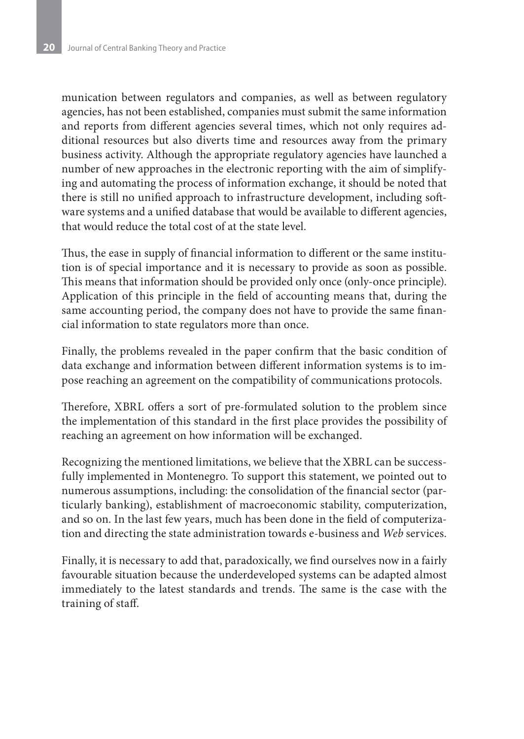munication between regulators and companies, as well as between regulatory agencies, has not been established, companies must submit the same information and reports from different agencies several times, which not only requires additional resources but also diverts time and resources away from the primary business activity. Although the appropriate regulatory agencies have launched a number of new approaches in the electronic reporting with the aim of simplifying and automating the process of information exchange, it should be noted that there is still no unified approach to infrastructure development, including software systems and a unified database that would be available to different agencies, that would reduce the total cost of at the state level.

Thus, the ease in supply of financial information to different or the same institution is of special importance and it is necessary to provide as soon as possible. This means that information should be provided only once (only-once principle). Application of this principle in the field of accounting means that, during the same accounting period, the company does not have to provide the same financial information to state regulators more than once.

Finally, the problems revealed in the paper confirm that the basic condition of data exchange and information between different information systems is to impose reaching an agreement on the compatibility of communications protocols.

Therefore, XBRL offers a sort of pre-formulated solution to the problem since the implementation of this standard in the first place provides the possibility of reaching an agreement on how information will be exchanged.

Recognizing the mentioned limitations, we believe that the XBRL can be successfully implemented in Montenegro. To support this statement, we pointed out to numerous assumptions, including: the consolidation of the financial sector (particularly banking), establishment of macroeconomic stability, computerization, and so on. In the last few years, much has been done in the field of computerization and directing the state administration towards e-business and *Web* services.

Finally, it is necessary to add that, paradoxically, we find ourselves now in a fairly favourable situation because the underdeveloped systems can be adapted almost immediately to the latest standards and trends. The same is the case with the training of staff.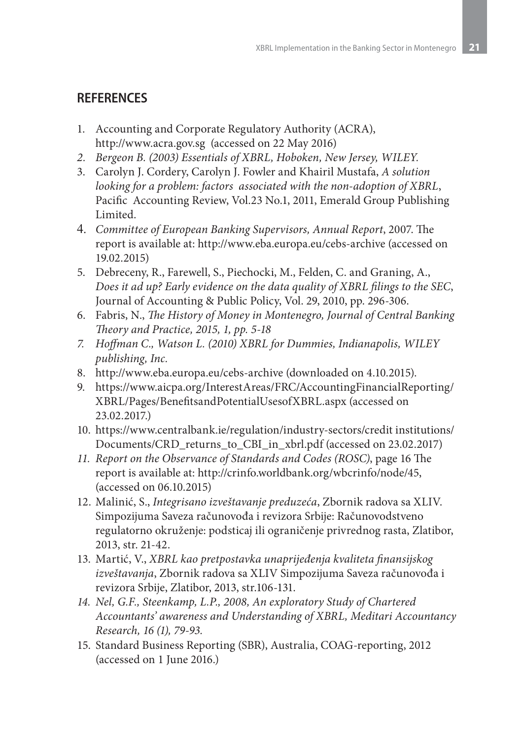# **REFERENCES**

- 1. Accounting and Corporate Regulatory Authority (ACRA), http://www.acra.gov.sg (accessed on 22 May 2016)
- *2. Bergeon B. (2003) Essentials of XBRL, Hoboken, New Jersey, WILEY.*
- 3. Carolyn J. Cordery, Carolyn J. Fowler and Khairil Mustafa, *A solution looking for a problem: factors associated with the non-adoption of XBRL*, Pacific Accounting Review, Vol.23 No.1, 2011, Emerald Group Publishing Limited.
- 4. *Committee of European Banking Supervisors, Annual Report*, 2007. The report is available at: http://www.eba.europa.eu/cebs-archive (accessed on 19.02.2015)
- 5. Debreceny, R., Farewell, S., Piechocki, M., Felden, C. and Graning, A., *Does it ad up? Early evidence on the data quality of XBRL filings to the SEC*, Journal of Accounting & Public Policy, Vol. 29, 2010, pp. 296-306.
- 6. Fabris, N., *The History of Money in Montenegro, Journal of Central Banking Theory and Practice, 2015, 1, pp. 5-18*
- *7. Hoffman C., Watson L. (2010) XBRL for Dummies, Indianapolis, WILEY publishing, Inc.*
- 8. http://www.eba.europa.eu/cebs-archive (downloaded on 4.10.2015).
- 9. https://www.aicpa.org/InterestAreas/FRC/AccountingFinancialReporting/ XBRL/Pages/BenefitsandPotentialUsesofXBRL.aspx (accessed on 23.02.2017.)
- 10. https://www.centralbank.ie/regulation/industry-sectors/credit institutions/ Documents/CRD\_returns\_to\_CBI\_in\_xbrl.pdf (accessed on 23.02.2017)
- *11. Report on the Observance of Standards and Codes (ROSC)*, page 16 The report is available at: http://crinfo.worldbank.org/wbcrinfo/node/45, (accessed on 06.10.2015)
- 12. Malinić, S., *Integrisano izveštavanje preduzeća*, Zbornik radova sa XLIV. Simpozijuma Saveza računovođa i revizora Srbije: Računovodstveno regulatorno okruženje: podsticaj ili ograničenje privrednog rasta, Zlatibor, 2013, str. 21-42.
- 13. Martić, V., *XBRL kao pretpostavka unaprijeđenja kvaliteta finansijskog izveštavanja*, Zbornik radova sa XLIV Simpozijuma Saveza računovođa i revizora Srbije, Zlatibor, 2013, str.106-131.
- *14. Nel, G.F., Steenkamp, L.P., 2008, An exploratory Study of Chartered Accountants' awareness and Understanding of XBRL, Meditari Accountancy Research, 16 (1), 79-93.*
- 15. Standard Business Reporting (SBR), Australia, COAG-reporting, 2012 (accessed on 1 June 2016.)